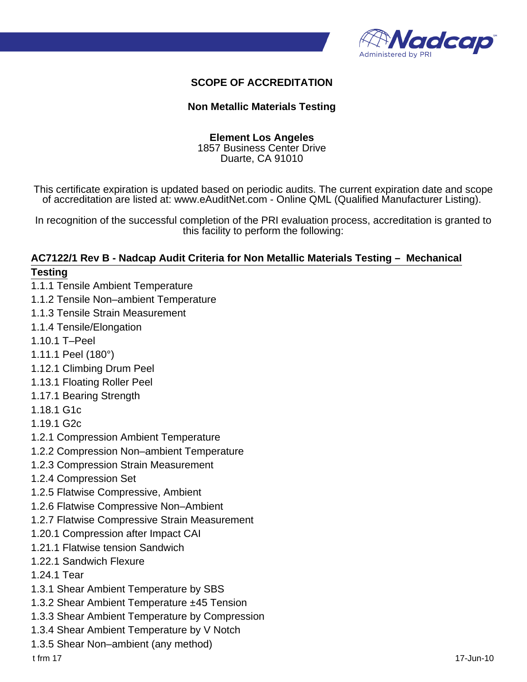

## **SCOPE OF ACCREDITATION**

#### **Non Metallic Materials Testing**

#### **Element Los Angeles** 1857 Business Center Drive

Duarte, CA 91010

This certificate expiration is updated based on periodic audits. The current expiration date and scope of accreditation are listed at: www.eAuditNet.com - Online QML (Qualified Manufacturer Listing).

In recognition of the successful completion of the PRI evaluation process, accreditation is granted to this facility to perform the following:

# **AC7122/1 Rev B - Nadcap Audit Criteria for Non Metallic Materials Testing – Mechanical**

#### **Testing**

- 1.1.1 Tensile Ambient Temperature
- 1.1.2 Tensile Non–ambient Temperature
- 1.1.3 Tensile Strain Measurement
- 1.1.4 Tensile/Elongation
- 1.10.1 T–Peel
- 1.11.1 Peel (180°)
- 1.12.1 Climbing Drum Peel
- 1.13.1 Floating Roller Peel
- 1.17.1 Bearing Strength
- 1.18.1 G1c
- 1.19.1 G2c
- 1.2.1 Compression Ambient Temperature
- 1.2.2 Compression Non–ambient Temperature
- 1.2.3 Compression Strain Measurement
- 1.2.4 Compression Set
- 1.2.5 Flatwise Compressive, Ambient
- 1.2.6 Flatwise Compressive Non–Ambient
- 1.2.7 Flatwise Compressive Strain Measurement
- 1.20.1 Compression after Impact CAI
- 1.21.1 Flatwise tension Sandwich
- 1.22.1 Sandwich Flexure
- 1.24.1 Tear
- 1.3.1 Shear Ambient Temperature by SBS
- 1.3.2 Shear Ambient Temperature ±45 Tension
- 1.3.3 Shear Ambient Temperature by Compression
- 1.3.4 Shear Ambient Temperature by V Notch
- 1.3.5 Shear Non–ambient (any method)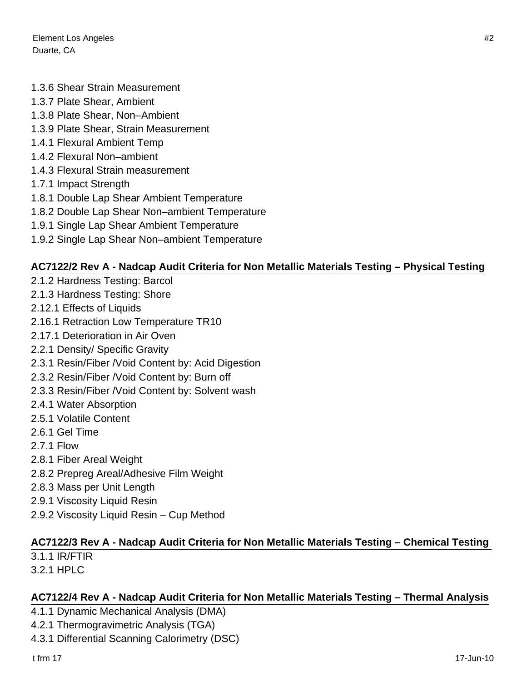Element Los Angeles #2 Duarte, CA

#### 1.3.6 Shear Strain Measurement

- 1.3.7 Plate Shear, Ambient
- 1.3.8 Plate Shear, Non–Ambient
- 1.3.9 Plate Shear, Strain Measurement
- 1.4.1 Flexural Ambient Temp
- 1.4.2 Flexural Non–ambient
- 1.4.3 Flexural Strain measurement
- 1.7.1 Impact Strength
- 1.8.1 Double Lap Shear Ambient Temperature
- 1.8.2 Double Lap Shear Non–ambient Temperature
- 1.9.1 Single Lap Shear Ambient Temperature
- 1.9.2 Single Lap Shear Non–ambient Temperature

## **AC7122/2 Rev A - Nadcap Audit Criteria for Non Metallic Materials Testing – Physical Testing**

- 2.1.2 Hardness Testing: Barcol
- 2.1.3 Hardness Testing: Shore
- 2.12.1 Effects of Liquids
- 2.16.1 Retraction Low Temperature TR10
- 2.17.1 Deterioration in Air Oven
- 2.2.1 Density/ Specific Gravity
- 2.3.1 Resin/Fiber /Void Content by: Acid Digestion
- 2.3.2 Resin/Fiber /Void Content by: Burn off
- 2.3.3 Resin/Fiber /Void Content by: Solvent wash
- 2.4.1 Water Absorption
- 2.5.1 Volatile Content
- 2.6.1 Gel Time
- 2.7.1 Flow
- 2.8.1 Fiber Areal Weight
- 2.8.2 Prepreg Areal/Adhesive Film Weight
- 2.8.3 Mass per Unit Length
- 2.9.1 Viscosity Liquid Resin
- 2.9.2 Viscosity Liquid Resin Cup Method

# **AC7122/3 Rev A - Nadcap Audit Criteria for Non Metallic Materials Testing – Chemical Testing**

- 3.1.1 IR/FTIR
- 3.2.1 HPLC

#### **AC7122/4 Rev A - Nadcap Audit Criteria for Non Metallic Materials Testing – Thermal Analysis**

- 4.1.1 Dynamic Mechanical Analysis (DMA)
- 4.2.1 Thermogravimetric Analysis (TGA)
- 4.3.1 Differential Scanning Calorimetry (DSC)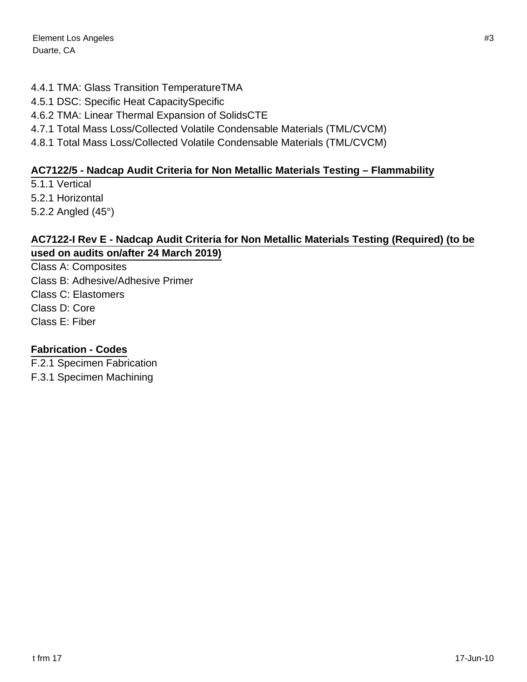# 4.4.1 TMA: Glass Transition TemperatureTMA

- 4.5.1 DSC: Specific Heat CapacitySpecific
- 4.6.2 TMA: Linear Thermal Expansion of SolidsCTE
- 4.7.1 Total Mass Loss/Collected Volatile Condensable Materials (TML/CVCM)
- 4.8.1 Total Mass Loss/Collected Volatile Condensable Materials (TML/CVCM)

# **AC7122/5 - Nadcap Audit Criteria for Non Metallic Materials Testing – Flammability**

5.1.1 Vertical 5.2.1 Horizontal 5.2.2 Angled (45°)

## **AC7122-I Rev E - Nadcap Audit Criteria for Non Metallic Materials Testing (Required) (to be used on audits on/after 24 March 2019)**

Class A: Composites Class B: Adhesive/Adhesive Primer Class C: Elastomers Class D: Core Class E: Fiber

# **Fabrication - Codes**

F.2.1 Specimen Fabrication F.3.1 Specimen Machining